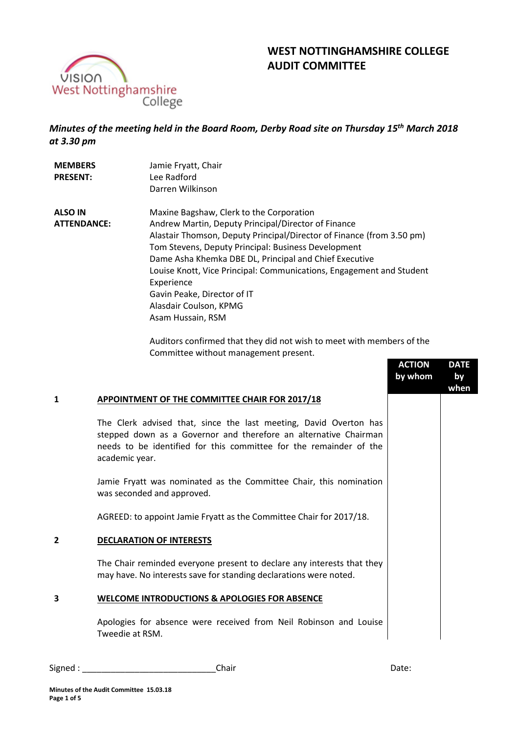

# **WEST NOTTINGHAMSHIRE COLLEGE AUDIT COMMITTEE**

# *Minutes of the meeting held in the Board Room, Derby Road site on Thursday 15th March 2018 at 3.30 pm*

| <b>MEMBERS</b><br><b>PRESENT:</b> | Jamie Fryatt, Chair<br>Lee Radford<br>Darren Wilkinson                |
|-----------------------------------|-----------------------------------------------------------------------|
| <b>ALSO IN</b>                    | Maxine Bagshaw, Clerk to the Corporation                              |
| <b>ATTENDANCE:</b>                | Andrew Martin, Deputy Principal/Director of Finance                   |
|                                   | Alastair Thomson, Deputy Principal/Director of Finance (from 3.50 pm) |
|                                   | Tom Stevens, Deputy Principal: Business Development                   |
|                                   | Dame Asha Khemka DBE DL, Principal and Chief Executive                |
|                                   | Louise Knott, Vice Principal: Communications, Engagement and Student  |
|                                   | Experience                                                            |
|                                   | Gavin Peake, Director of IT                                           |
|                                   | Alasdair Coulson, KPMG                                                |
|                                   | Asam Hussain, RSM                                                     |

Auditors confirmed that they did not wish to meet with members of the Committee without management present.

|   |                                                                                                                                                                                                                               | <b>ACTION</b><br>by whom | <b>DATE</b><br>by<br>when |
|---|-------------------------------------------------------------------------------------------------------------------------------------------------------------------------------------------------------------------------------|--------------------------|---------------------------|
| 1 | APPOINTMENT OF THE COMMITTEE CHAIR FOR 2017/18                                                                                                                                                                                |                          |                           |
|   | The Clerk advised that, since the last meeting, David Overton has<br>stepped down as a Governor and therefore an alternative Chairman<br>needs to be identified for this committee for the remainder of the<br>academic year. |                          |                           |
|   | Jamie Fryatt was nominated as the Committee Chair, this nomination<br>was seconded and approved.                                                                                                                              |                          |                           |
|   | AGREED: to appoint Jamie Fryatt as the Committee Chair for 2017/18.                                                                                                                                                           |                          |                           |
| 2 | <b>DECLARATION OF INTERESTS</b>                                                                                                                                                                                               |                          |                           |
|   | The Chair reminded everyone present to declare any interests that they<br>may have. No interests save for standing declarations were noted.                                                                                   |                          |                           |
| 3 | <b>WELCOME INTRODUCTIONS &amp; APOLOGIES FOR ABSENCE</b>                                                                                                                                                                      |                          |                           |
|   | Apologies for absence were received from Neil Robinson and Louise<br>Tweedie at RSM.                                                                                                                                          |                          |                           |

Signed : \_\_\_\_\_\_\_\_\_\_\_\_\_\_\_\_\_\_\_\_\_\_\_\_\_\_\_\_Chair Date: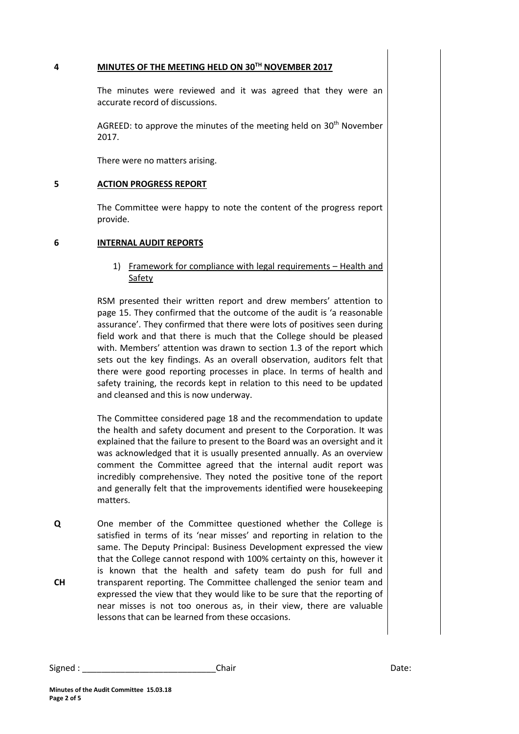#### **4 MINUTES OF THE MEETING HELD ON 30TH NOVEMBER 2017**

The minutes were reviewed and it was agreed that they were an accurate record of discussions.

AGREED: to approve the minutes of the meeting held on  $30<sup>th</sup>$  November 2017.

There were no matters arising.

#### **5 ACTION PROGRESS REPORT**

The Committee were happy to note the content of the progress report provide.

#### **6 INTERNAL AUDIT REPORTS**

1) Framework for compliance with legal requirements – Health and Safety

RSM presented their written report and drew members' attention to page 15. They confirmed that the outcome of the audit is 'a reasonable assurance'. They confirmed that there were lots of positives seen during field work and that there is much that the College should be pleased with. Members' attention was drawn to section 1.3 of the report which sets out the key findings. As an overall observation, auditors felt that there were good reporting processes in place. In terms of health and safety training, the records kept in relation to this need to be updated and cleansed and this is now underway.

The Committee considered page 18 and the recommendation to update the health and safety document and present to the Corporation. It was explained that the failure to present to the Board was an oversight and it was acknowledged that it is usually presented annually. As an overview comment the Committee agreed that the internal audit report was incredibly comprehensive. They noted the positive tone of the report and generally felt that the improvements identified were housekeeping matters.

**Q CH** One member of the Committee questioned whether the College is satisfied in terms of its 'near misses' and reporting in relation to the same. The Deputy Principal: Business Development expressed the view that the College cannot respond with 100% certainty on this, however it is known that the health and safety team do push for full and transparent reporting. The Committee challenged the senior team and expressed the view that they would like to be sure that the reporting of near misses is not too onerous as, in their view, there are valuable lessons that can be learned from these occasions.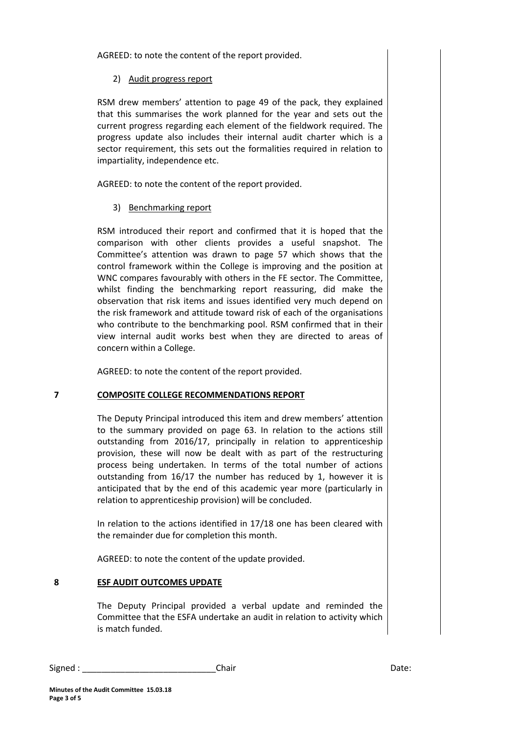AGREED: to note the content of the report provided.

# 2) Audit progress report

RSM drew members' attention to page 49 of the pack, they explained that this summarises the work planned for the year and sets out the current progress regarding each element of the fieldwork required. The progress update also includes their internal audit charter which is a sector requirement, this sets out the formalities required in relation to impartiality, independence etc.

AGREED: to note the content of the report provided.

# 3) Benchmarking report

RSM introduced their report and confirmed that it is hoped that the comparison with other clients provides a useful snapshot. The Committee's attention was drawn to page 57 which shows that the control framework within the College is improving and the position at WNC compares favourably with others in the FE sector. The Committee, whilst finding the benchmarking report reassuring, did make the observation that risk items and issues identified very much depend on the risk framework and attitude toward risk of each of the organisations who contribute to the benchmarking pool. RSM confirmed that in their view internal audit works best when they are directed to areas of concern within a College.

AGREED: to note the content of the report provided.

### **7 COMPOSITE COLLEGE RECOMMENDATIONS REPORT**

The Deputy Principal introduced this item and drew members' attention to the summary provided on page 63. In relation to the actions still outstanding from 2016/17, principally in relation to apprenticeship provision, these will now be dealt with as part of the restructuring process being undertaken. In terms of the total number of actions outstanding from 16/17 the number has reduced by 1, however it is anticipated that by the end of this academic year more (particularly in relation to apprenticeship provision) will be concluded.

In relation to the actions identified in 17/18 one has been cleared with the remainder due for completion this month.

AGREED: to note the content of the update provided.

### **8 ESF AUDIT OUTCOMES UPDATE**

The Deputy Principal provided a verbal update and reminded the Committee that the ESFA undertake an audit in relation to activity which is match funded.

Signed : \_\_\_\_\_\_\_\_\_\_\_\_\_\_\_\_\_\_\_\_\_\_\_\_\_\_\_\_Chair Date: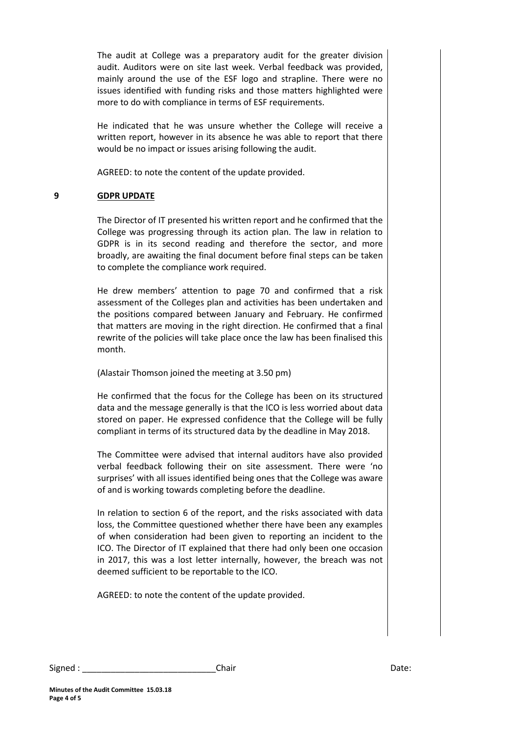The audit at College was a preparatory audit for the greater division audit. Auditors were on site last week. Verbal feedback was provided, mainly around the use of the ESF logo and strapline. There were no issues identified with funding risks and those matters highlighted were more to do with compliance in terms of ESF requirements.

He indicated that he was unsure whether the College will receive a written report, however in its absence he was able to report that there would be no impact or issues arising following the audit.

AGREED: to note the content of the update provided.

# **9 GDPR UPDATE**

The Director of IT presented his written report and he confirmed that the College was progressing through its action plan. The law in relation to GDPR is in its second reading and therefore the sector, and more broadly, are awaiting the final document before final steps can be taken to complete the compliance work required.

He drew members' attention to page 70 and confirmed that a risk assessment of the Colleges plan and activities has been undertaken and the positions compared between January and February. He confirmed that matters are moving in the right direction. He confirmed that a final rewrite of the policies will take place once the law has been finalised this month.

(Alastair Thomson joined the meeting at 3.50 pm)

He confirmed that the focus for the College has been on its structured data and the message generally is that the ICO is less worried about data stored on paper. He expressed confidence that the College will be fully compliant in terms of its structured data by the deadline in May 2018.

The Committee were advised that internal auditors have also provided verbal feedback following their on site assessment. There were 'no surprises' with all issues identified being ones that the College was aware of and is working towards completing before the deadline.

In relation to section 6 of the report, and the risks associated with data loss, the Committee questioned whether there have been any examples of when consideration had been given to reporting an incident to the ICO. The Director of IT explained that there had only been one occasion in 2017, this was a lost letter internally, however, the breach was not deemed sufficient to be reportable to the ICO.

AGREED: to note the content of the update provided.